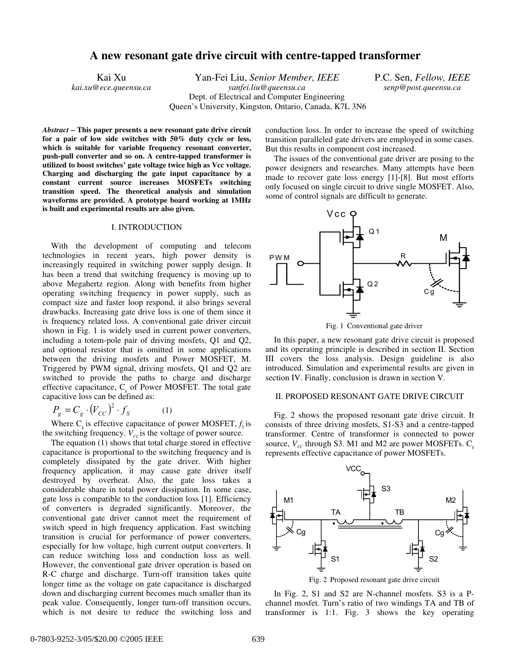# **A new resonant gate drive circuit with centre-tapped transformer**

*kai.xu@ece.queensu.ca yanfei.liu@queensu.ca senp@post.queensu.ca*

Kai Xu Yan-Fei Liu, *Senior Member, IEEE* P.C. Sen, *Fellow, IEEE* Dept. of Electrical and Computer Engineering Queen's University, Kingston, Ontario, Canada, K7L 3N6

*Abstract* **– This paper presents a new resonant gate drive circuit for a pair of low side switches with 50% duty cycle or less, which is suitable for variable frequency resonant converter, push-pull converter and so on. A centre-tapped transformer is utilized to boost switches' gate voltage twice high as Vcc voltage. Charging and discharging the gate input capacitance by a constant current source increases MOSFETs switching transition speed. The theoretical analysis and simulation waveforms are provided. A prototype board working at 1MHz is built and experimental results are also given.**

# I. INTRODUCTION

With the development of computing and telecom technologies in recent years, high power density is increasingly required in switching power supply design. It has been a trend that switching frequency is moving up to above Megahertz region. Along with benefits from higher operating switching frequency in power supply, such as compact size and faster loop respond, it also brings several drawbacks. Increasing gate drive loss is one of them since it is frequency related loss. A conventional gate driver circuit shown in Fig. 1 is widely used in current power converters, including a totem-pole pair of driving mosfets, Q1 and Q2, and optional resistor that is omitted in some applications between the driving mosfets and Power MOSFET, M. Triggered by PWM signal, driving mosfets, Q1 and Q2 are switched to provide the paths to charge and discharge effective capacitance,  $C_{g}$  of Power MOSFET. The total gate capacitive loss can be defined as:

$$
P_g = C_g \cdot (V_{CC})^2 \cdot f_S \tag{1}
$$

Where  $C_{s}$  is effective capacitance of power MOSFET,  $f_{s}$  is the switching frequency.  $V_{cc}$  is the voltage of power source.

The equation (1) shows that total charge stored in effective capacitance is proportional to the switching frequency and is completely dissipated by the gate driver. With higher frequency application, it may cause gate driver itself destroyed by overheat. Also, the gate loss takes a considerable share in total power dissipation. In some case, gate loss is compatible to the conduction loss [1]. Efficiency of converters is degraded significantly. Moreover, the conventional gate driver cannot meet the requirement of switch speed in high frequency application. Fast switching transition is crucial for performance of power converters, especially for low voltage, high current output converters. It can reduce switching loss and conduction loss as well. However, the conventional gate driver operation is based on R-C charge and discharge. Turn-off transition takes quite longer time as the voltage on gate capacitance is discharged down and discharging current becomes much smaller than its peak value. Consequently, longer turn-off transition occurs, which is not desire to reduce the switching loss and

conduction loss. In order to increase the speed of switching transition paralleled gate drivers are employed in some cases. But this results in component cost increased.

The issues of the conventional gate driver are posing to the power designers and researches. Many attempts have been made to recover gate loss energy [1]-[8]. But most efforts only focused on single circuit to drive single MOSFET. Also, some of control signals are difficult to generate.



Fig. 1 Conventional gate driver

In this paper, a new resonant gate drive circuit is proposed and its operating principle is described in section II. Section III covers the loss analysis. Design guideline is also introduced. Simulation and experimental results are given in section IV. Finally, conclusion is drawn in section V.

#### II. PROPOSED RESONANT GATE DRIVE CIRCUIT

Fig. 2 shows the proposed resonant gate drive circuit. It consists of three driving mosfets, S1-S3 and a centre-tapped transformer. Centre of transformer is connected to power source,  $V_{cc}$  through S3. M1 and M2 are power MOSFETs.  $C_{g}$ represents effective capacitance of power MOSFETs.



Fig. 2 Proposed resonant gate drive circuit

In Fig. 2, S1 and S2 are N-channel mosfets. S3 is a Pchannel mosfet. Turn's ratio of two windings TA and TB of transformer is 1:1. Fig. 3 shows the key operating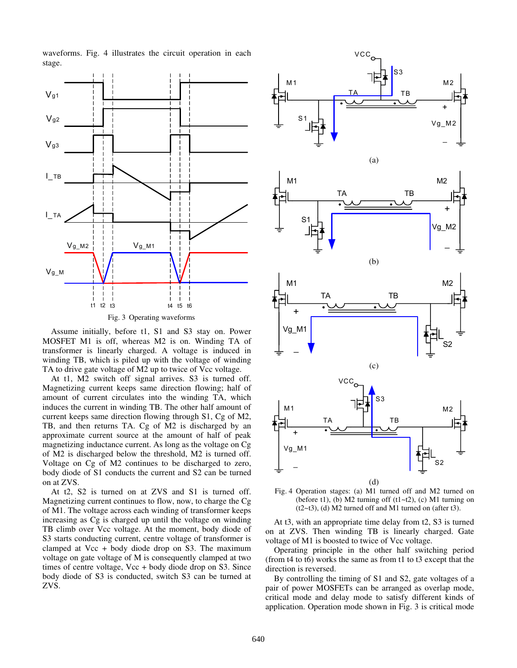waveforms. Fig. 4 illustrates the circuit operation in each stage.



Assume initially, before t1, S1 and S3 stay on. Power MOSFET M1 is off, whereas M2 is on. Winding TA of transformer is linearly charged. A voltage is induced in winding TB, which is piled up with the voltage of winding TA to drive gate voltage of M2 up to twice of Vcc voltage.

At t1, M2 switch off signal arrives. S3 is turned off. Magnetizing current keeps same direction flowing; half of amount of current circulates into the winding TA, which induces the current in winding TB. The other half amount of current keeps same direction flowing through S1, Cg of M2, TB, and then returns TA. Cg of M2 is discharged by an approximate current source at the amount of half of peak magnetizing inductance current. As long as the voltage on Cg of M2 is discharged below the threshold, M2 is turned off. Voltage on Cg of M2 continues to be discharged to zero, body diode of S1 conducts the current and S2 can be turned on at ZVS.

At t2, S2 is turned on at ZVS and S1 is turned off. Magnetizing current continues to flow, now, to charge the Cg of M1. The voltage across each winding of transformer keeps increasing as Cg is charged up until the voltage on winding TB climb over Vcc voltage. At the moment, body diode of S3 starts conducting current, centre voltage of transformer is clamped at  $Vec + body$  diode drop on S3. The maximum voltage on gate voltage of M is consequently clamped at two times of centre voltage, Vcc + body diode drop on S3. Since body diode of S3 is conducted, switch S3 can be turned at ZVS.



Fig. 4 Operation stages: (a) M1 turned off and M2 turned on (before t1), (b) M2 turning off  $(t1~t2)$ , (c) M1 turning on  $(t2~t3)$ , (d) M2 turned off and M1 turned on (after t3).

At t3, with an appropriate time delay from t2, S3 is turned on at ZVS. Then winding TB is linearly charged. Gate voltage of M1 is boosted to twice of Vcc voltage.

Operating principle in the other half switching period (from t4 to t6) works the same as from t1 to t3 except that the direction is reversed.

By controlling the timing of S1 and S2, gate voltages of a pair of power MOSFETs can be arranged as overlap mode, critical mode and delay mode to satisfy different kinds of application. Operation mode shown in Fig. 3 is critical mode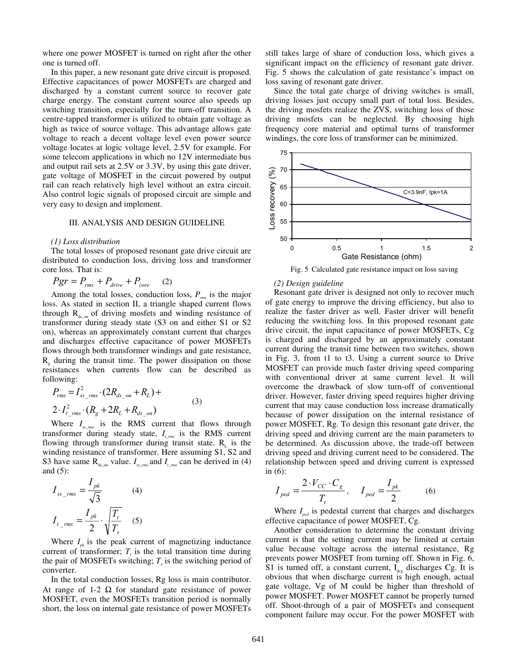where one power MOSFET is turned on right after the other one is turned off.

In this paper, a new resonant gate drive circuit is proposed. Effective capacitances of power MOSFETs are charged and discharged by a constant current source to recover gate charge energy. The constant current source also speeds up switching transition, especially for the turn-off transition. A centre-tapped transformer is utilized to obtain gate voltage as high as twice of source voltage. This advantage allows gate voltage to reach a decent voltage level even power source voltage locates at logic voltage level, 2.5V for example. For some telecom applications in which no 12V intermediate bus and output rail sets at 2.5V or 3.3V, by using this gate driver, gate voltage of MOSFET in the circuit powered by output rail can reach relatively high level without an extra circuit. Also control logic signals of proposed circuit are simple and very easy to design and implement.

### III. ANALYSIS AND DESIGN GUIDELINE

## *(1) Loss distribution*

The total losses of proposed resonant gate drive circuit are distributed to conduction loss, driving loss and transformer core loss. That is:

$$
Pgr = P_{rms} + P_{drive} + P_{core} \qquad (2)
$$

Among the total losses, conduction loss,  $P_{\text{rms}}$  is the major loss. As stated in section II, a triangle shaped current flows through  $R_{ds\text{on}}$  of driving mosfets and winding resistance of transformer during steady state (S3 on and either S1 or S2 on), whereas an approximately constant current that charges and discharges effective capacitance of power MOSFETs flows through both transformer windings and gate resistance,  $R_{g}$  during the transit time. The power dissipation on those resistances when currents flow can be described as following:

$$
P_{rms} = I_{ss_{rms}}^2 \cdot (2R_{ds_{on}} + R_L) +
$$
  
2.  $I_{t_{rms}}^2 \cdot (R_g + 2R_L + R_{ds_{on}})$  (3)

Where  $I_{\rm{sym}}$  is the RMS current that flows through transformer during steady state, *It\_rms* is the RMS current flowing through transformer during transit state.  $R<sub>L</sub>$  is the winding resistance of transformer. Here assuming S1, S2 and S3 have same  $R_{ds_{\text{on}}}$  value.  $I_{ss_{\text{cm}}}$  and  $I_{t_{\text{cm}}}$  can be derived in (4) and (5):

$$
I_{ss\_rms} = \frac{I_{pk}}{\sqrt{3}}
$$
(4)  

$$
I_{t\_rms} = \frac{I_{pk}}{2} \cdot \sqrt{\frac{T_t}{T_s}}
$$
(5)

Where  $I_{nk}$  is the peak current of magnetizing inductance current of transformer;  $T<sub>t</sub>$  is the total transition time during the pair of MOSFETs switching;  $T_s$  is the switching period of converter.

In the total conduction losses, Rg loss is main contributor. At range of 1-2  $\Omega$  for standard gate resistance of power MOSFET, even the MOSFETs transition period is normally short, the loss on internal gate resistance of power MOSFETs still takes large of share of conduction loss, which gives a significant impact on the efficiency of resonant gate driver. Fig. 5 shows the calculation of gate resistance's impact on loss saving of resonant gate driver.

Since the total gate charge of driving switches is small, driving losses just occupy small part of total loss. Besides, the driving mosfets realize the ZVS, switching loss of those driving mosfets can be neglected. By choosing high frequency core material and optimal turns of transformer windings, the core loss of transformer can be minimized.



Fig. 5 Calculated gate resistance impact on loss saving

#### *(2) Design guideline*

Resonant gate driver is designed not only to recover much of gate energy to improve the driving efficiency, but also to realize the faster driver as well. Faster driver will benefit reducing the switching loss. In this proposed resonant gate drive circuit, the input capacitance of power MOSFETs, Cg is charged and discharged by an approximately constant current during the transit time between two switches, shown in Fig. 3, from t1 to t3. Using a current source to Drive MOSFET can provide much faster driving speed comparing with conventional driver at same current level. It will overcome the drawback of slow turn-off of conventional driver. However, faster driving speed requires higher driving current that may cause conduction loss increase dramatically because of power dissipation on the internal resistance of power MOSFET, Rg. To design this resonant gate driver, the driving speed and driving current are the main parameters to be determined. As discussion above, the trade-off between driving speed and driving current need to be considered. The relationship between speed and driving current is expressed in (6):

$$
I_{ped} = \frac{2 \cdot V_{CC} \cdot C_g}{T_t}, \quad I_{ped} = \frac{I_{pk}}{2} \tag{6}
$$

Where  $I_{\text{red}}$  is pedestal current that charges and discharges effective capacitance of power MOSFET, Cg.

Another consideration to determine the constant driving current is that the setting current may be limited at certain value because voltage across the internal resistance, Rg prevents power MOSFET from turning off. Shown in Fig. 6, S1 is turned off, a constant current,  $I_{\text{deg}}$  discharges Cg. It is obvious that when discharge current is high enough, actual gate voltage, Vg of M could be higher than threshold of power MOSFET. Power MOSFET cannot be properly turned off. Shoot-through of a pair of MOSFETs and consequent component failure may occur. For the power MOSFET with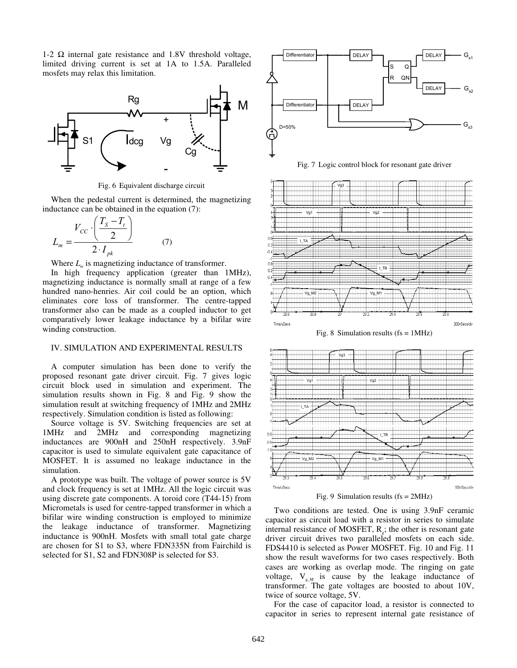1-2  $\Omega$  internal gate resistance and 1.8V threshold voltage, limited driving current is set at 1A to 1.5A. Paralleled mosfets may relax this limitation.



Fig. 6 Equivalent discharge circuit

When the pedestal current is determined, the magnetizing inductance can be obtained in the equation (7):

$$
L_m = \frac{V_{CC} \cdot \left(\frac{T_S - T_t}{2}\right)}{2 \cdot I_{pk}} \tag{7}
$$

Where  $L_m$  is magnetizing inductance of transformer.

In high frequency application (greater than 1MHz), magnetizing inductance is normally small at range of a few hundred nano-henries. Air coil could be an option, which eliminates core loss of transformer. The centre-tapped transformer also can be made as a coupled inductor to get comparatively lower leakage inductance by a bifilar wire winding construction.

# IV. SIMULATION AND EXPERIMENTAL RESULTS

A computer simulation has been done to verify the proposed resonant gate driver circuit. Fig. 7 gives logic circuit block used in simulation and experiment. The simulation results shown in Fig. 8 and Fig. 9 show the simulation result at switching frequency of 1MHz and 2MHz respectively. Simulation condition is listed as following:

Source voltage is 5V. Switching frequencies are set at 1MHz and 2MHz and corresponding magnetizing inductances are 900nH and 250nH respectively. 3.9nF capacitor is used to simulate equivalent gate capacitance of MOSFET. It is assumed no leakage inductance in the simulation.

A prototype was built. The voltage of power source is 5V and clock frequency is set at 1MHz. All the logic circuit was using discrete gate components. A toroid core (T44-15) from Micrometals is used for centre-tapped transformer in which a bifilar wire winding construction is employed to minimize the leakage inductance of transformer. Magnetizing inductance is 900nH. Mosfets with small total gate charge are chosen for S1 to S3, where FDN335N from Fairchild is selected for S1, S2 and FDN308P is selected for S3.



Fig. 7 Logic control block for resonant gate driver



Fig. 8 Simulation results  $(fs = 1MHz)$ 



Fig. 9 Simulation results (fs = 2MHz)

Two conditions are tested. One is using 3.9nF ceramic capacitor as circuit load with a resistor in series to simulate internal resistance of MOSFET,  $R<sub>a</sub>$ ; the other is resonant gate driver circuit drives two paralleled mosfets on each side. FDS4410 is selected as Power MOSFET. Fig. 10 and Fig. 11 show the result waveforms for two cases respectively. Both cases are working as overlap mode. The ringing on gate voltage,  $V_{g,M}$  is cause by the leakage inductance of transformer. The gate voltages are boosted to about 10V, twice of source voltage, 5V.

For the case of capacitor load, a resistor is connected to capacitor in series to represent internal gate resistance of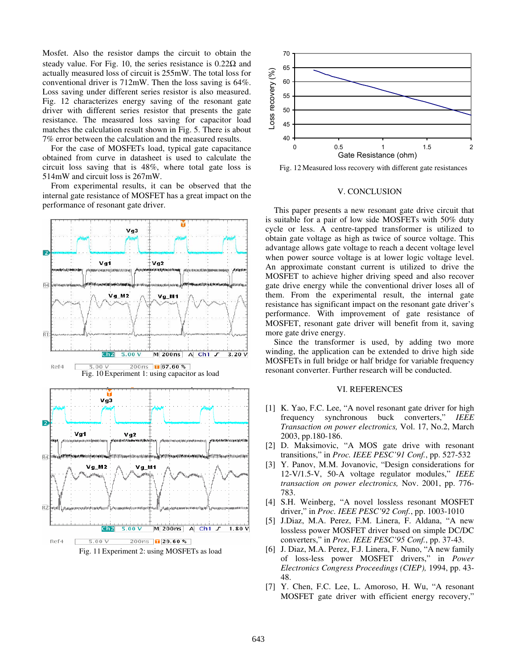Mosfet. Also the resistor damps the circuit to obtain the steady value. For Fig. 10, the series resistance is  $0.22\Omega$  and actually measured loss of circuit is 255mW. The total loss for conventional driver is 712mW. Then the loss saving is 64%. Loss saving under different series resistor is also measured. Fig. 12 characterizes energy saving of the resonant gate driver with different series resistor that presents the gate resistance. The measured loss saving for capacitor load matches the calculation result shown in Fig. 5. There is about 7% error between the calculation and the measured results.

For the case of MOSFETs load, typical gate capacitance obtained from curve in datasheet is used to calculate the circuit loss saving that is 48%, where total gate loss is 514mW and circuit loss is 267mW.

From experimental results, it can be observed that the internal gate resistance of MOSFET has a great impact on the performance of resonant gate driver.





Fig. 12 Measured loss recovery with different gate resistances

#### V. CONCLUSION

This paper presents a new resonant gate drive circuit that is suitable for a pair of low side MOSFETs with 50% duty cycle or less. A centre-tapped transformer is utilized to obtain gate voltage as high as twice of source voltage. This advantage allows gate voltage to reach a decent voltage level when power source voltage is at lower logic voltage level. An approximate constant current is utilized to drive the MOSFET to achieve higher driving speed and also recover gate drive energy while the conventional driver loses all of them. From the experimental result, the internal gate resistance has significant impact on the resonant gate driver's performance. With improvement of gate resistance of MOSFET, resonant gate driver will benefit from it, saving more gate drive energy.

Since the transformer is used, by adding two more winding, the application can be extended to drive high side MOSFETs in full bridge or half bridge for variable frequency resonant converter. Further research will be conducted.

## VI. REFERENCES

- [1] K. Yao, F.C. Lee, "A novel resonant gate driver for high frequency synchronous buck converters," *IEEE Transaction on power electronics,* Vol. 17, No.2, March 2003, pp.180-186.
- [2] D. Maksimovic, "A MOS gate drive with resonant transitions," in *Proc. IEEE PESC'91 Conf.*, pp. 527-532
- [3] Y. Panov, M.M. Jovanovic, "Design considerations for 12-V/1.5-V, 50-A voltage regulator modules," *IEEE transaction on power electronics,* Nov. 2001, pp. 776- 783.
- [4] S.H. Weinberg, "A novel lossless resonant MOSFET driver," in *Proc. IEEE PESC'92 Conf.*, pp. 1003-1010
- [5] J.Diaz, M.A. Perez, F.M. Linera, F. Aldana, "A new lossless power MOSFET driver based on simple DC/DC converters," in *Proc. IEEE PESC'95 Conf.*, pp. 37-43.
- [6] J. Diaz, M.A. Perez, F.J. Linera, F. Nuno, "A new family of loss-less power MOSFET drivers," in *Power Electronics Congress Proceedings (CIEP),* 1994, pp. 43- 48.
- [7] Y. Chen, F.C. Lee, L. Amoroso, H. Wu, "A resonant MOSFET gate driver with efficient energy recovery,"